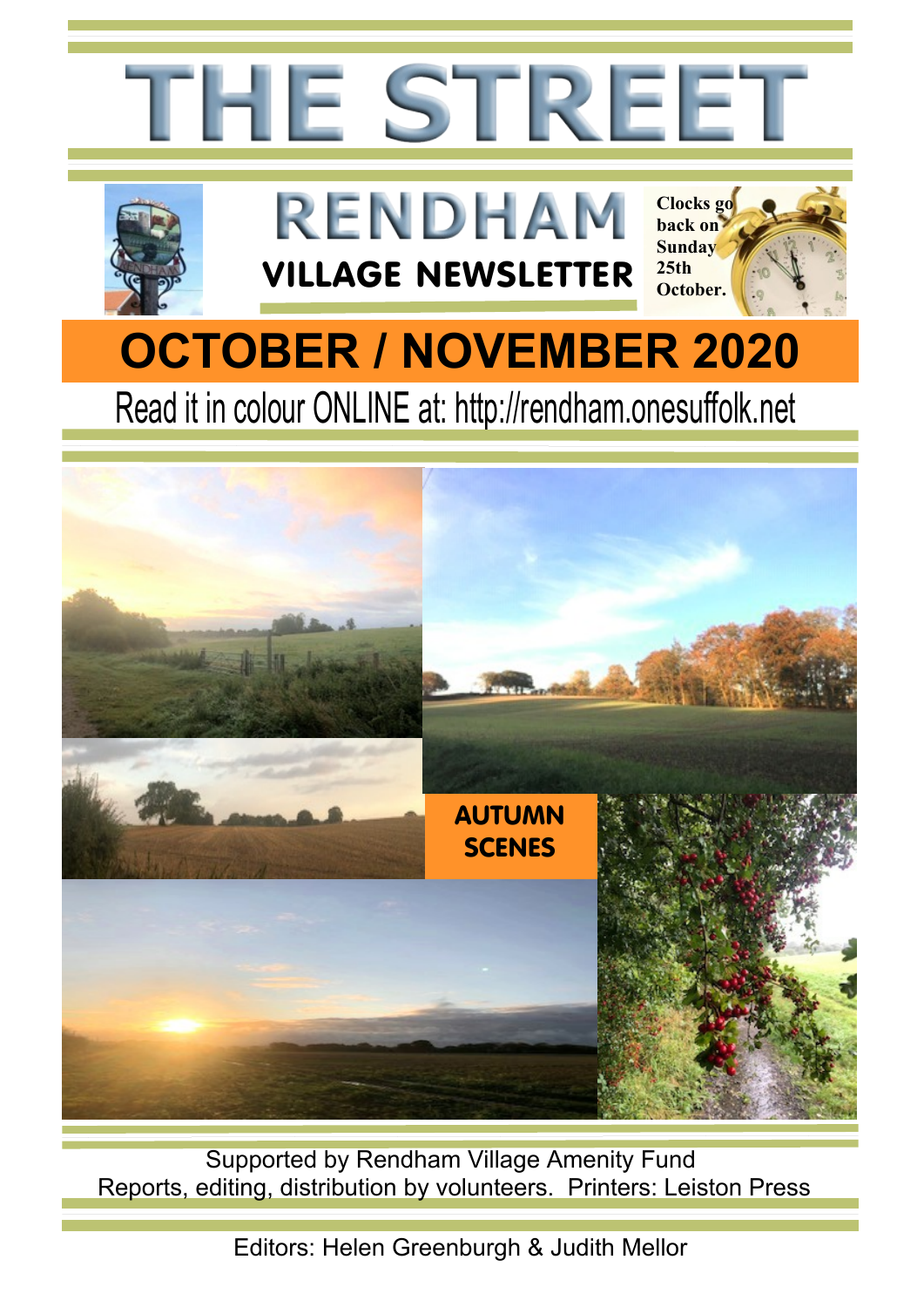

Supported by Rendham Village Amenity Fund Reports, editing, distribution by volunteers. Printers: Leiston Press

Editors: Helen Greenburgh & Judith Mellor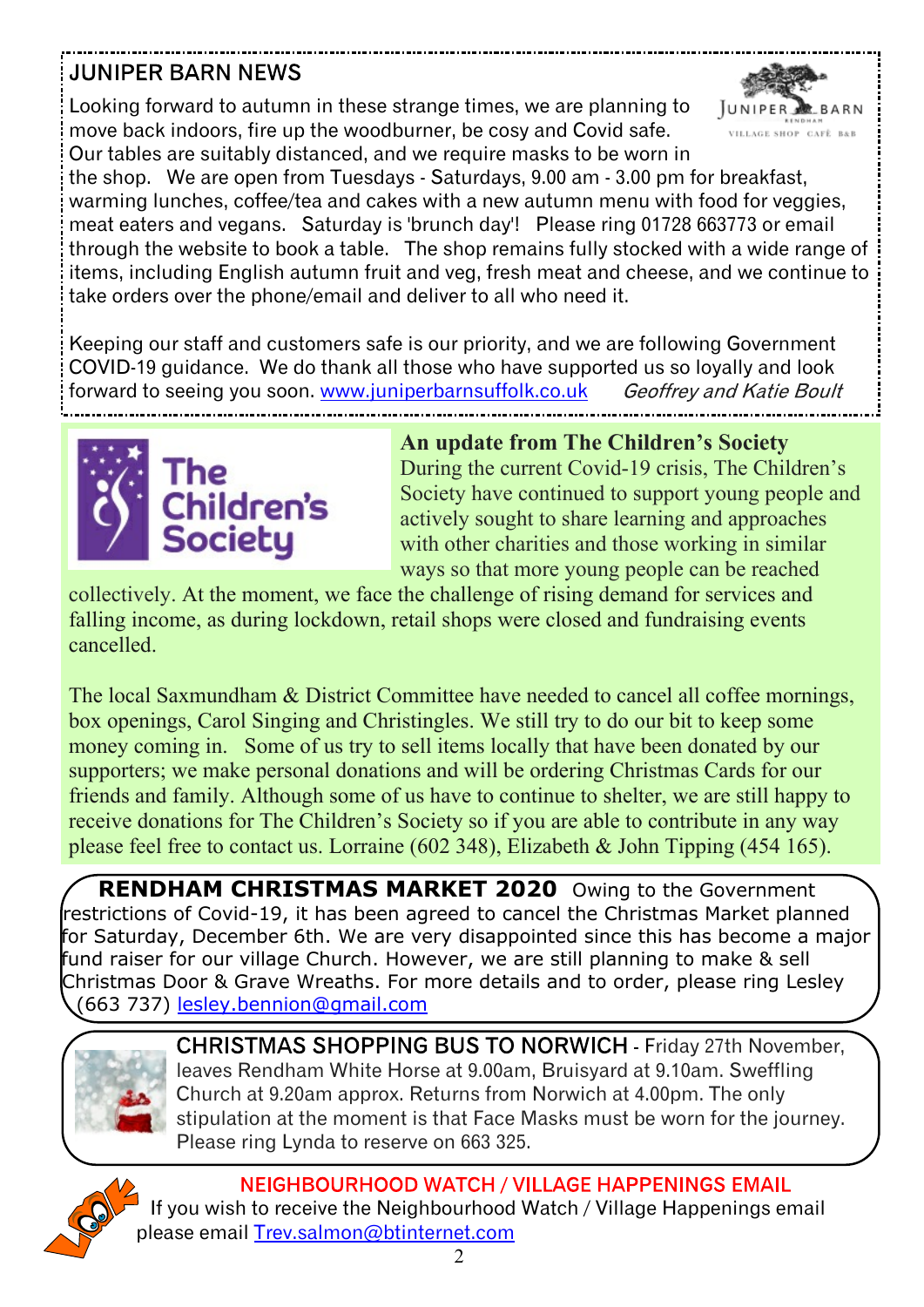### **JUNIPER BARN NEWS**

Looking forward to autumn in these strange times, we are planning to move back indoors, fire up the woodburner, be cosy and Covid safe. Our tables are suitably distanced, and we require masks to be worn in



the shop. We are open from Tuesdays - Saturdays, 9.00 am - 3.00 pm for breakfast, warming lunches, coffee/tea and cakes with a new autumn menu with food for veggies, meat eaters and vegans. Saturday is 'brunch day'! Please ring 01728 663773 or email through the website to book a table. The shop remains fully stocked with a wide range of items, including English autumn fruit and veg, fresh meat and cheese, and we continue to take orders over the phone/email and deliver to all who need it.

Keeping our staff and customers safe is our priority, and we are following Government COVID-19 guidance. We do thank all those who have supported us so loyally and look forward to seeing you soon. [www.juniperbarnsuffolk.co.uk](www.juniperbarnsuffolk.co.uk ) Geoffrey and Katie Boult



**An update from The Children's Society** During the current Covid-19 crisis, The Children's Society have continued to support young people and actively sought to share learning and approaches with other charities and those working in similar ways so that more young people can be reached

collectively. At the moment, we face the challenge of rising demand for services and falling income, as during lockdown, retail shops were closed and fundraising events cancelled.

The local Saxmundham & District Committee have needed to cancel all coffee mornings, box openings, Carol Singing and Christingles. We still try to do our bit to keep some money coming in. Some of us try to sell items locally that have been donated by our supporters; we make personal donations and will be ordering Christmas Cards for our friends and family. Although some of us have to continue to shelter, we are still happy to receive donations for The Children's Society so if you are able to contribute in any way please feel free to contact us. Lorraine (602 348), Elizabeth & John Tipping (454 165).

**RENDHAM CHRISTMAS MARKET 2020** Owing to the Government restrictions of Covid-19, it has been agreed to cancel the Christmas Market planned for Saturday, December 6th. We are very disappointed since this has become a major fund raiser for our village Church. However, we are still planning to make & sell Christmas Door & Grave Wreaths. For more details and to order, please ring Lesley (663 737) [lesley.bennion@gmail.com](mailto:lesley.bennion@gmail.com)



CHRISTMAS SHOPPING BUS TO NORWICH - Friday 27th November, leaves Rendham White Horse at 9.00am, Bruisyard at 9.10am. Sweffling Church at 9.20am approx. Returns from Norwich at 4.00pm. The only stipulation at the moment is that Face Masks must be worn for the journey. Please ring Lynda to reserve on 663 325.



NEIGHBOURHOOD WATCH / VILLAGE HAPPENINGS EMAIL If you wish to receive the Neighbourhood Watch / Village Happenings email please email [Trev.salmon@btinternet.com](mailto:Trev.salmon@btinternet.com)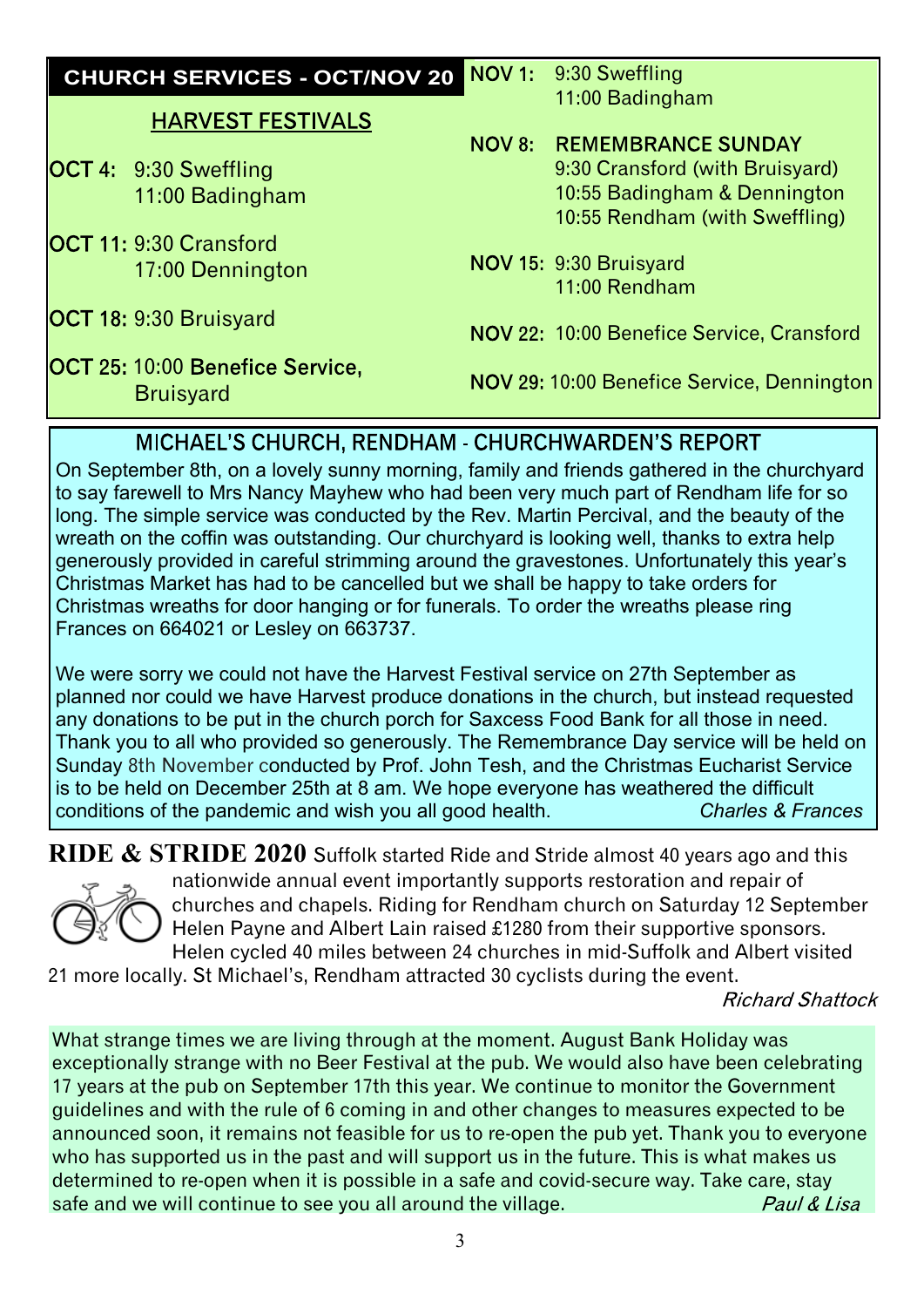| <b>CHURCH SERVICES - OCT/NOV 20</b>                        | NOV 1: | 9:30 Sweffling                                                                                                                 |
|------------------------------------------------------------|--------|--------------------------------------------------------------------------------------------------------------------------------|
| <b>HARVEST FESTIVALS</b>                                   |        | 11:00 Badingham                                                                                                                |
| <b>OCT 4: 9:30 Sweffling</b><br>11:00 Badingham            | NOV 8: | <b>REMEMBRANCE SUNDAY</b><br>9:30 Cransford (with Bruisyard)<br>10:55 Badingham & Dennington<br>10:55 Rendham (with Sweffling) |
| <b>IOCT 11: 9:30 Cransford</b><br>17:00 Dennington         |        | NOV 15: 9:30 Bruisyard<br>11:00 Rendham                                                                                        |
| <b>OCT 18: 9:30 Bruisyard</b>                              |        | NOV 22: 10:00 Benefice Service, Cransford                                                                                      |
| <b>OCT 25: 10:00 Benefice Service,</b><br><b>Bruisyard</b> |        | NOV 29: 10:00 Benefice Service, Dennington                                                                                     |
|                                                            |        | <b>MICHAEL'S CHURCH, RENDHAM - CHURCHWARDEN'S REPORT</b>                                                                       |

On September 8th, on a lovely sunny morning, family and friends gathered in the churchyard to say farewell to Mrs Nancy Mayhew who had been very much part of Rendham life for so long. The simple service was conducted by the Rev. Martin Percival, and the beauty of the wreath on the coffin was outstanding. Our churchyard is looking well, thanks to extra help generously provided in careful strimming around the gravestones. Unfortunately this year's Christmas Market has had to be cancelled but we shall be happy to take orders for Christmas wreaths for door hanging or for funerals. To order the wreaths please ring Frances on 664021 or Lesley on 663737.

We were sorry we could not have the Harvest Festival service on 27th September as planned nor could we have Harvest produce donations in the church, but instead requested any donations to be put in the church porch for Saxcess Food Bank for all those in need. Thank you to all who provided so generously. The Remembrance Day service will be held on Sunday 8th November conducted by Prof. John Tesh, and the Christmas Eucharist Service is to be held on December 25th at 8 am. We hope everyone has weathered the difficult conditions of the pandemic and wish you all good health conditions of the pandemic and wish you all good health.

**RIDE & STRIDE 2020** Suffolk started Ride and Stride almost 40 years ago and this



nationwide annual event importantly supports restoration and repair of churches and chapels. Riding for Rendham church on Saturday 12 September Helen Payne and Albert Lain raised £1280 from their supportive sponsors. Helen cycled 40 miles between 24 churches in mid-Suffolk and Albert visited

21 more locally. St Michael's, Rendham attracted 30 cyclists during the event.

**Richard Shattock** 

What strange times we are living through at the moment. August Bank Holiday was exceptionally strange with no Beer Festival at the pub. We would also have been celebrating 17 years at the pub on September 17th this year. We continue to monitor the Government guidelines and with the rule of 6 coming in and other changes to measures expected to be announced soon, it remains not feasible for us to re-open the pub yet. Thank you to everyone who has supported us in the past and will support us in the future. This is what makes us determined to re-open when it is possible in a safe and covid-secure way. Take care, stay safe and we will continue to see you all around the village. Paul & Lisa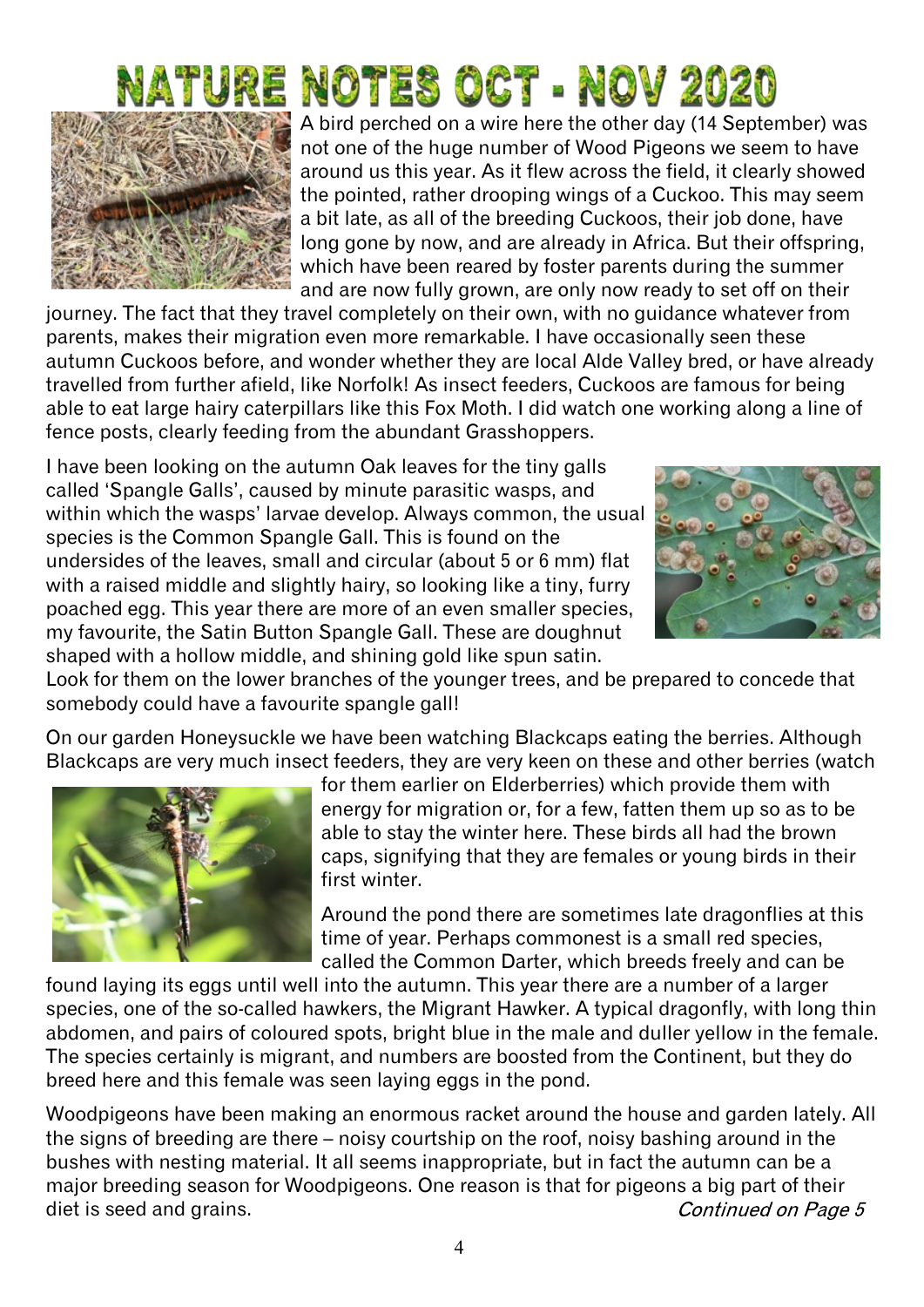# TURE NOTES OCT - NOV 2020



A bird perched on a wire here the other day (14 September) was not one of the huge number of Wood Pigeons we seem to have around us this year. As it flew across the field, it clearly showed the pointed, rather drooping wings of a Cuckoo. This may seem a bit late, as all of the breeding Cuckoos, their job done, have long gone by now, and are already in Africa. But their offspring, which have been reared by foster parents during the summer and are now fully grown, are only now ready to set off on their

journey. The fact that they travel completely on their own, with no guidance whatever from parents, makes their migration even more remarkable. I have occasionally seen these autumn Cuckoos before, and wonder whether they are local Alde Valley bred, or have already travelled from further afield, like Norfolk! As insect feeders, Cuckoos are famous for being able to eat large hairy caterpillars like this Fox Moth. I did watch one working along a line of fence posts, clearly feeding from the abundant Grasshoppers.

I have been looking on the autumn Oak leaves for the tiny galls called 'Spangle Galls', caused by minute parasitic wasps, and within which the wasps' larvae develop. Always common, the usual species is the Common Spangle Gall. This is found on the undersides of the leaves, small and circular (about 5 or 6 mm) flat with a raised middle and slightly hairy, so looking like a tiny, furry poached egg. This year there are more of an even smaller species, my favourite, the Satin Button Spangle Gall. These are doughnut shaped with a hollow middle, and shining gold like spun satin.



Look for them on the lower branches of the younger trees, and be prepared to concede that somebody could have a favourite spangle gall!

On our garden Honeysuckle we have been watching Blackcaps eating the berries. Although Blackcaps are very much insect feeders, they are very keen on these and other berries (watch



for them earlier on Elderberries) which provide them with energy for migration or, for a few, fatten them up so as to be able to stay the winter here. These birds all had the brown caps, signifying that they are females or young birds in their first winter.

Around the pond there are sometimes late dragonflies at this time of year. Perhaps commonest is a small red species, called the Common Darter, which breeds freely and can be

found laying its eggs until well into the autumn. This year there are a number of a larger species, one of the so-called hawkers, the Migrant Hawker. A typical dragonfly, with long thin abdomen, and pairs of coloured spots, bright blue in the male and duller yellow in the female. The species certainly is migrant, and numbers are boosted from the Continent, but they do breed here and this female was seen laying eggs in the pond.

Woodpigeons have been making an enormous racket around the house and garden lately. All the signs of breeding are there – noisy courtship on the roof, noisy bashing around in the bushes with nesting material. It all seems inappropriate, but in fact the autumn can be a major breeding season for Woodpigeons. One reason is that for pigeons a big part of their diet is seed and grains. Continued on Page 5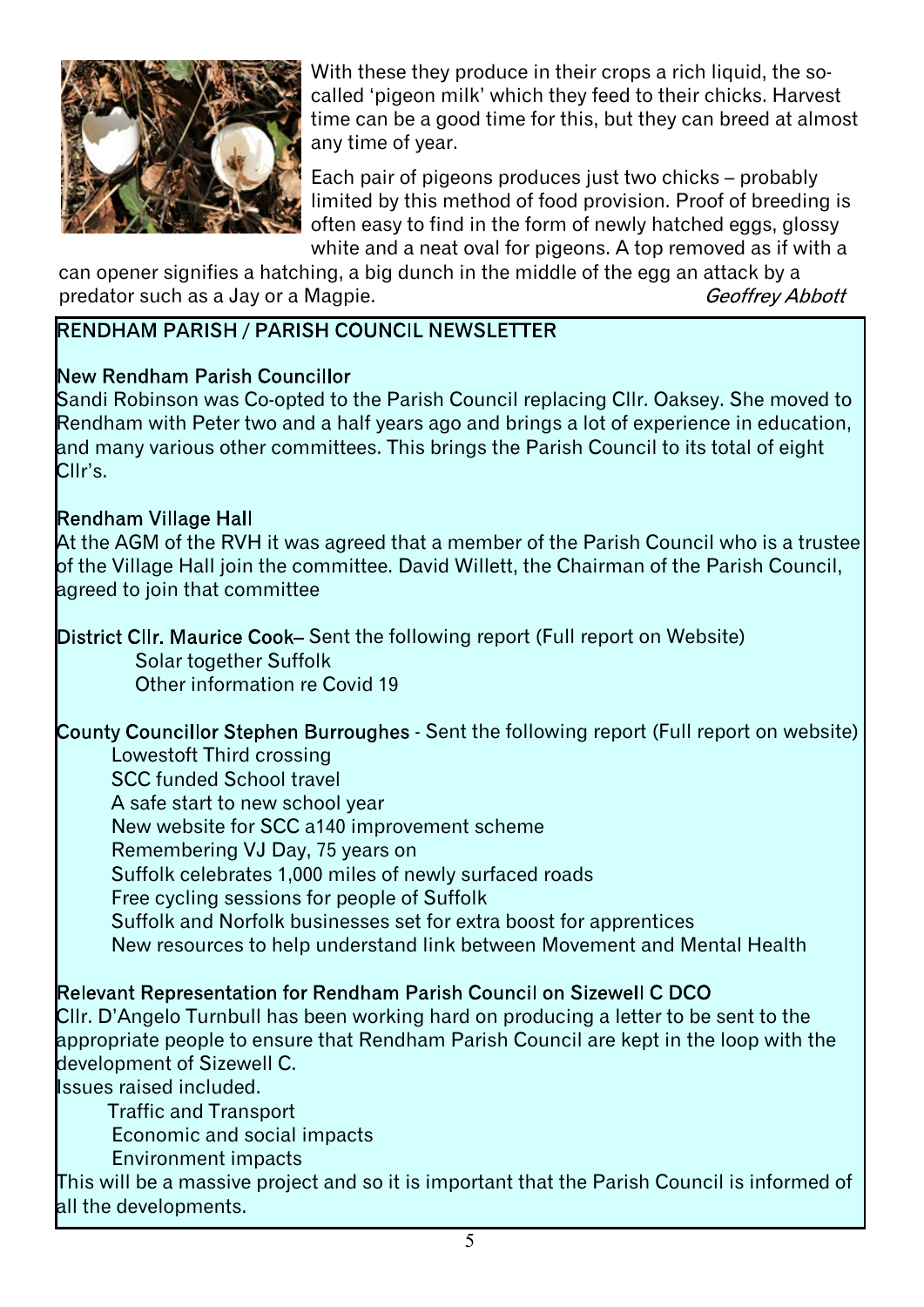

With these they produce in their crops a rich liquid, the socalled 'pigeon milk' which they feed to their chicks. Harvest time can be a good time for this, but they can breed at almost any time of year.

Each pair of pigeons produces just two chicks – probably limited by this method of food provision. Proof of breeding is often easy to find in the form of newly hatched eggs, glossy white and a neat oval for pigeons. A top removed as if with a

can opener signifies a hatching, a big dunch in the middle of the egg an attack by a<br>predator such as a Jay or a Magpie. predator such as a Jay or a Magpie.

#### RENDHAM PARISH / PARISH COUNCIL NEWSLETTER

#### New Rendham Parish Councillor

Sandi Robinson was Co-opted to the Parish Council replacing Cllr. Oaksey. She moved to Rendham with Peter two and a half years ago and brings a lot of experience in education, and many various other committees. This brings the Parish Council to its total of eight Cllr's.

#### Rendham Village Hall

At the AGM of the RVH it was agreed that a member of the Parish Council who is a trustee of the Village Hall join the committee. David Willett, the Chairman of the Parish Council, agreed to join that committee

#### District CIIr. Maurice Cook– Sent the following report (Full report on Website) Solar together Suffolk Other information re Covid 19

County Councillor Stephen Burroughes - Sent the following report (Full report on website)

#### Lowestoft Third crossing

SCC funded School travel A safe start to new school year New website for SCC a140 improvement scheme Remembering VJ Day, 75 years on Suffolk celebrates 1,000 miles of newly surfaced roads Free cycling sessions for people of Suffolk Suffolk and Norfolk businesses set for extra boost for apprentices New resources to help understand link between Movement and Mental Health

#### Relevant Representation for Rendham Parish Council on Sizewell C DCO

Cllr. D'Angelo Turnbull has been working hard on producing a letter to be sent to the appropriate people to ensure that Rendham Parish Council are kept in the loop with the development of Sizewell C.

Issues raised included.

Traffic and Transport

Economic and social impacts

Environment impacts

This will be a massive project and so it is important that the Parish Council is informed of all the developments.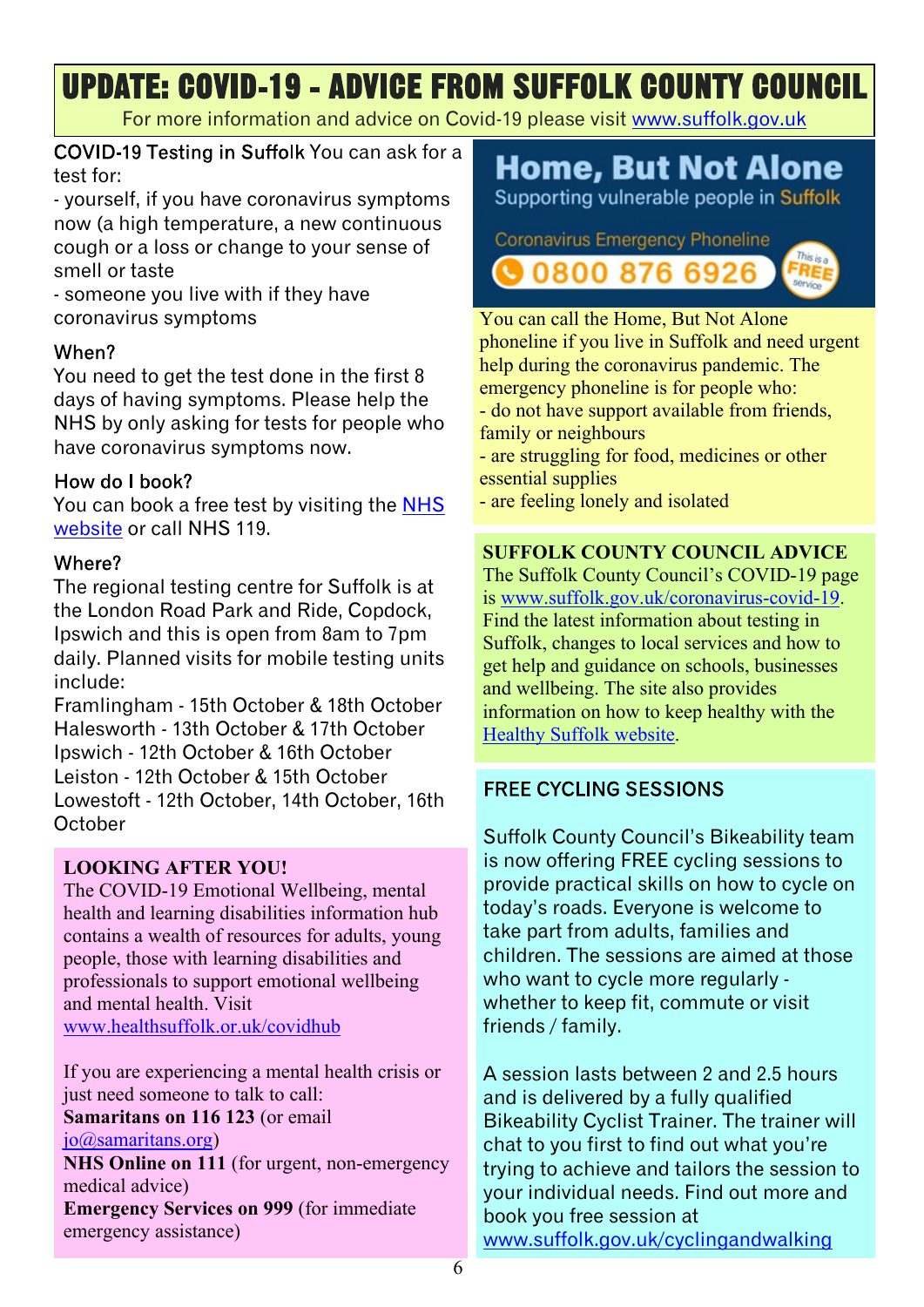# **UPDATE: COVID-19 - ADVICE FROM SUFFOLK COUNTY COUNCIL**

For more information and advice on Covid-19 please visit <www.suffolk.gov.uk>

COVID-19 Testing in Suffolk You can ask for a test for:

- yourself, if you have coronavirus symptoms now (a high temperature, a new continuous cough or a loss or change to your sense of smell or taste

- someone you live with if they have coronavirus symptoms

#### When?

You need to get the test done in the first 8 days of having symptoms. Please help the NHS by only asking for tests for people who have coronavirus symptoms now.

#### How do I book?

You can book a free test by visiting the [NHS](www.nhs.uk) [website](www.nhs.uk) or call NHS 119.

#### Where?

The regional testing centre for Suffolk is at the London Road Park and Ride, Copdock, Ipswich and this is open from 8am to 7pm daily. Planned visits for mobile testing units include:

Framlingham - 15th October & 18th October Halesworth - 13th October & 17th October Ipswich - 12th October & 16th October Leiston - 12th October & 15th October Lowestoft - 12th October, 14th October, 16th October

#### **LOOKING AFTER YOU!**

The COVID-19 Emotional Wellbeing, mental health and learning disabilities information hub contains a wealth of resources for adults, young people, those with learning disabilities and professionals to support emotional wellbeing and mental health. Visit <www.healthsuffolk.or.uk/covidhub>

If you are experiencing a mental health crisis or just need someone to talk to call: **Samaritans on 116 123** (or email [jo@samaritans.org\)](mailto:jo@samaritans.org) **NHS Online on 111** (for urgent, non-emergency medical advice) **Emergency Services on 999** (for immediate emergency assistance)

# **Home, But Not Alone**

Supporting vulnerable people in Suffolk

**Coronavirus Emergency Phoneline @08008766926** 



You can call the Home, But Not Alone phoneline if you live in Suffolk and need urgent help during the coronavirus pandemic. The emergency phoneline is for people who: - do not have support available from friends,

family or neighbours

- are struggling for food, medicines or other essential supplies

- are feeling lonely and isolated

#### **SUFFOLK COUNTY COUNCIL ADVICE**

The Suffolk County Council's COVID-19 page is [www.suffolk.gov.uk/coronavirus-covid-19.](www.suffolk.gov.uk/coronavirus-covid-19) Find the latest information about testing in Suffolk, changes to local services and how to get help and guidance on schools, businesses and wellbeing. The site also provides information on how to keep healthy with the [Healthy Suffolk website.](www.healthysuffolk.org.uk)

#### **FREE CYCLING SESSIONS**

Suffolk County Council's Bikeability team is now offering FREE cycling sessions to provide practical skills on how to cycle on today's roads. Everyone is welcome to take part from adults, families and children. The sessions are aimed at those who want to cycle more regularly whether to keep fit, commute or visit friends / family.

A session lasts between 2 and 2.5 hours and is delivered by a fully qualified Bikeability Cyclist Trainer. The trainer will chat to you first to find out what you're trying to achieve and tailors the session to your individual needs. Find out more and book you free session at <www.suffolk.gov.uk/cyclingandwalking>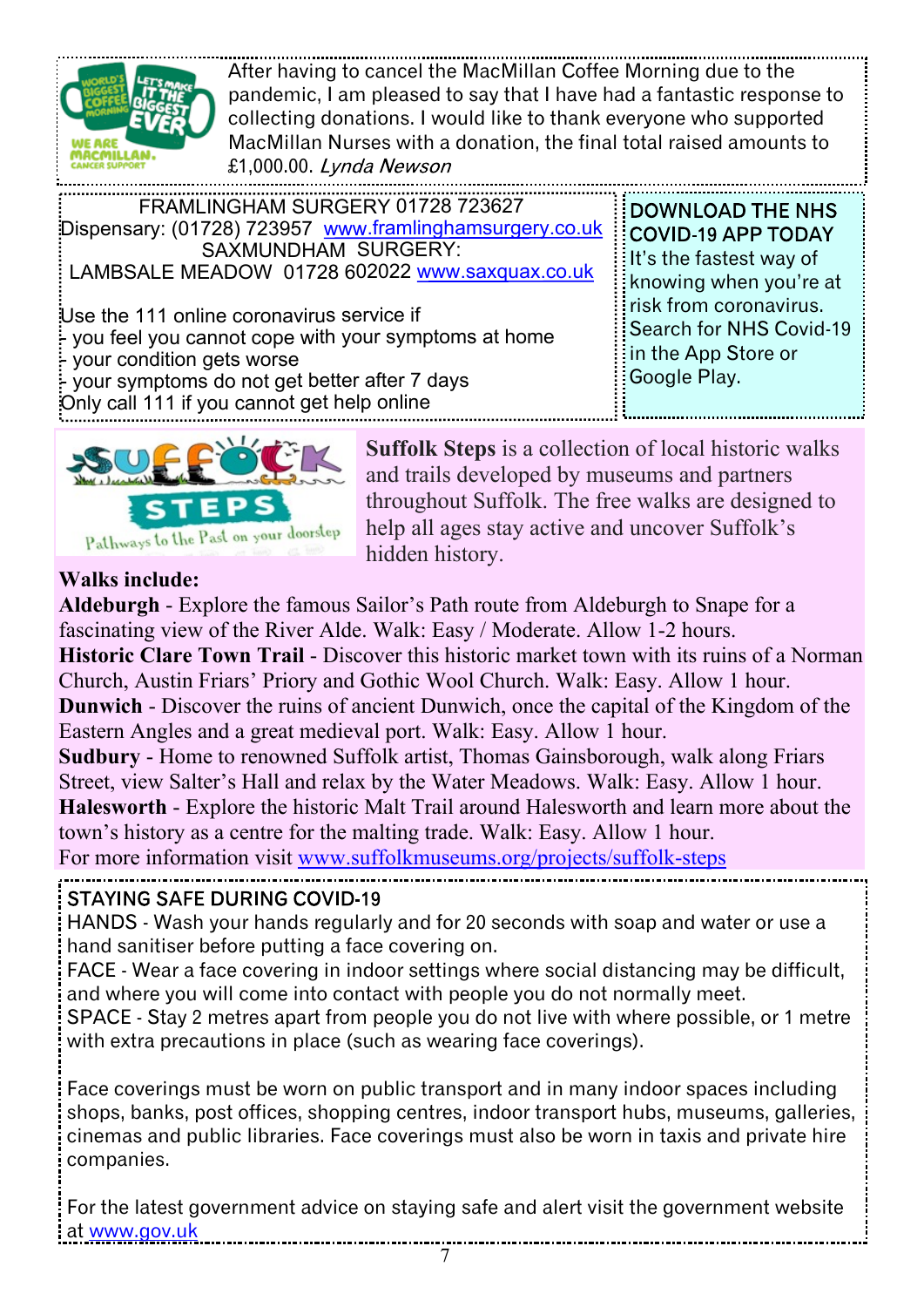

After having to cancel the MacMillan Coffee Morning due to the pandemic, I am pleased to say that I have had a fantastic response to collecting donations. I would like to thank everyone who supported MacMillan Nurses with a donation, the final total raised amounts to £1,000.00. Lynda Newson

| FRAMLINGHAM SURGERY 01728 723627                                                                                                                                                                                                  |  |
|-----------------------------------------------------------------------------------------------------------------------------------------------------------------------------------------------------------------------------------|--|
| Dispensary: (01728) 723957 www.framlinghamsurgery.co.uk                                                                                                                                                                           |  |
| SAXMUNDHAM SURGERY:                                                                                                                                                                                                               |  |
| LAMBSALE MEADOW 01728 602022 www.saxquax.co.uk                                                                                                                                                                                    |  |
| Use the 111 online coronavirus service if<br>:- you feel you cannot cope with your symptoms at home<br>- your condition gets worse<br>your symptoms do not get better after 7 days<br>Only call 111 if you cannot get help online |  |

**DOWNLOAD THE NHS** It's the fastest way of knowing when you're at risk from coronavirus. Search for NHS Covid-19 in the App Store or Google Play.



**Suffolk Steps** is a collection of local historic walks and trails developed by museums and partners throughout Suffolk. The free walks are designed to help all ages stay active and uncover Suffolk's hidden history.

#### **Walks include:**

**Aldeburgh** - Explore the famous Sailor's Path route from Aldeburgh to Snape for a fascinating view of the River Alde. Walk: Easy / Moderate. Allow 1-2 hours. **Historic Clare Town Trail** - Discover this historic market town with its ruins of a Norman Church, Austin Friars' Priory and Gothic Wool Church. Walk: Easy. Allow 1 hour. **Dunwich** - Discover the ruins of ancient Dunwich, once the capital of the Kingdom of the Eastern Angles and a great medieval port. Walk: Easy. Allow 1 hour. **Sudbury** - Home to renowned Suffolk artist, Thomas Gainsborough, walk along Friars Street, view Salter's Hall and relax by the Water Meadows. Walk: Easy. Allow 1 hour. **Halesworth** - Explore the historic Malt Trail around Halesworth and learn more about the town's history as a centre for the malting trade. Walk: Easy. Allow 1 hour. For more information visit <www.suffolkmuseums.org/projects/suffolk-steps> **STAYING SAFE DURING COVID-19** HANDS - Wash your hands regularly and for 20 seconds with soap and water or use a hand sanitiser before putting a face covering on. FACE - Wear a face covering in indoor settings where social distancing may be difficult,

and where you will come into contact with people you do not normally meet.

SPACE - Stay 2 metres apart from people you do not live with where possible, or 1 metre with extra precautions in place (such as wearing face coverings).

Face coverings must be worn on public transport and in many indoor spaces including shops, banks, post offices, shopping centres, indoor transport hubs, museums, galleries, cinemas and public libraries. Face coverings must also be worn in taxis and private hire companies.

For the latest government advice on staying safe and alert visit the government website at <www.gov.uk>